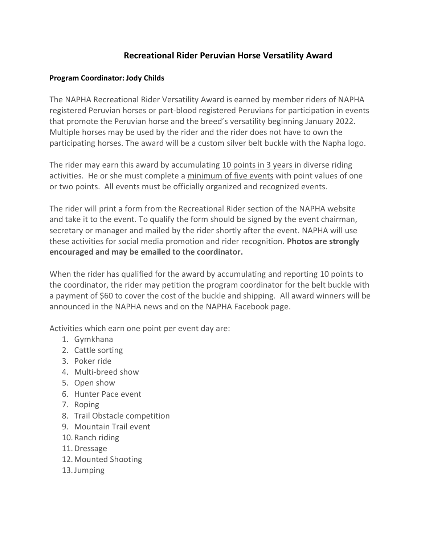## **Recreational Rider Peruvian Horse Versatility Award**

## **Program Coordinator: Jody Childs**

The NAPHA Recreational Rider Versatility Award is earned by member riders of NAPHA registered Peruvian horses or part-blood registered Peruvians for participation in events that promote the Peruvian horse and the breed's versatility beginning January 2022. Multiple horses may be used by the rider and the rider does not have to own the participating horses. The award will be a custom silver belt buckle with the Napha logo.

The rider may earn this award by accumulating 10 points in 3 years in diverse riding activities. He or she must complete a minimum of five events with point values of one or two points. All events must be officially organized and recognized events.

The rider will print a form from the Recreational Rider section of the NAPHA website and take it to the event. To qualify the form should be signed by the event chairman, secretary or manager and mailed by the rider shortly after the event. NAPHA will use these activities for social media promotion and rider recognition. **Photos are strongly encouraged and may be emailed to the coordinator.**

When the rider has qualified for the award by accumulating and reporting 10 points to the coordinator, the rider may petition the program coordinator for the belt buckle with a payment of \$60 to cover the cost of the buckle and shipping. All award winners will be announced in the NAPHA news and on the NAPHA Facebook page.

Activities which earn one point per event day are:

- 1. Gymkhana
- 2. Cattle sorting
- 3. Poker ride
- 4. Multi-breed show
- 5. Open show
- 6. Hunter Pace event
- 7. Roping
- 8. Trail Obstacle competition
- 9. Mountain Trail event
- 10.Ranch riding
- 11.Dressage
- 12.Mounted Shooting
- 13.Jumping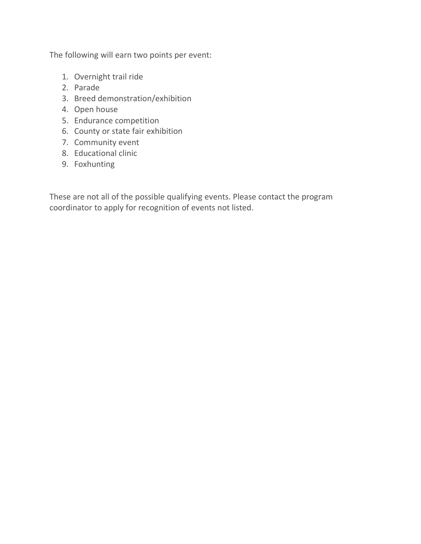The following will earn two points per event:

- 1. Overnight trail ride
- 2. Parade
- 3. Breed demonstration/exhibition
- 4. Open house
- 5. Endurance competition
- 6. County or state fair exhibition
- 7. Community event
- 8. Educational clinic
- 9. Foxhunting

These are not all of the possible qualifying events. Please contact the program coordinator to apply for recognition of events not listed.